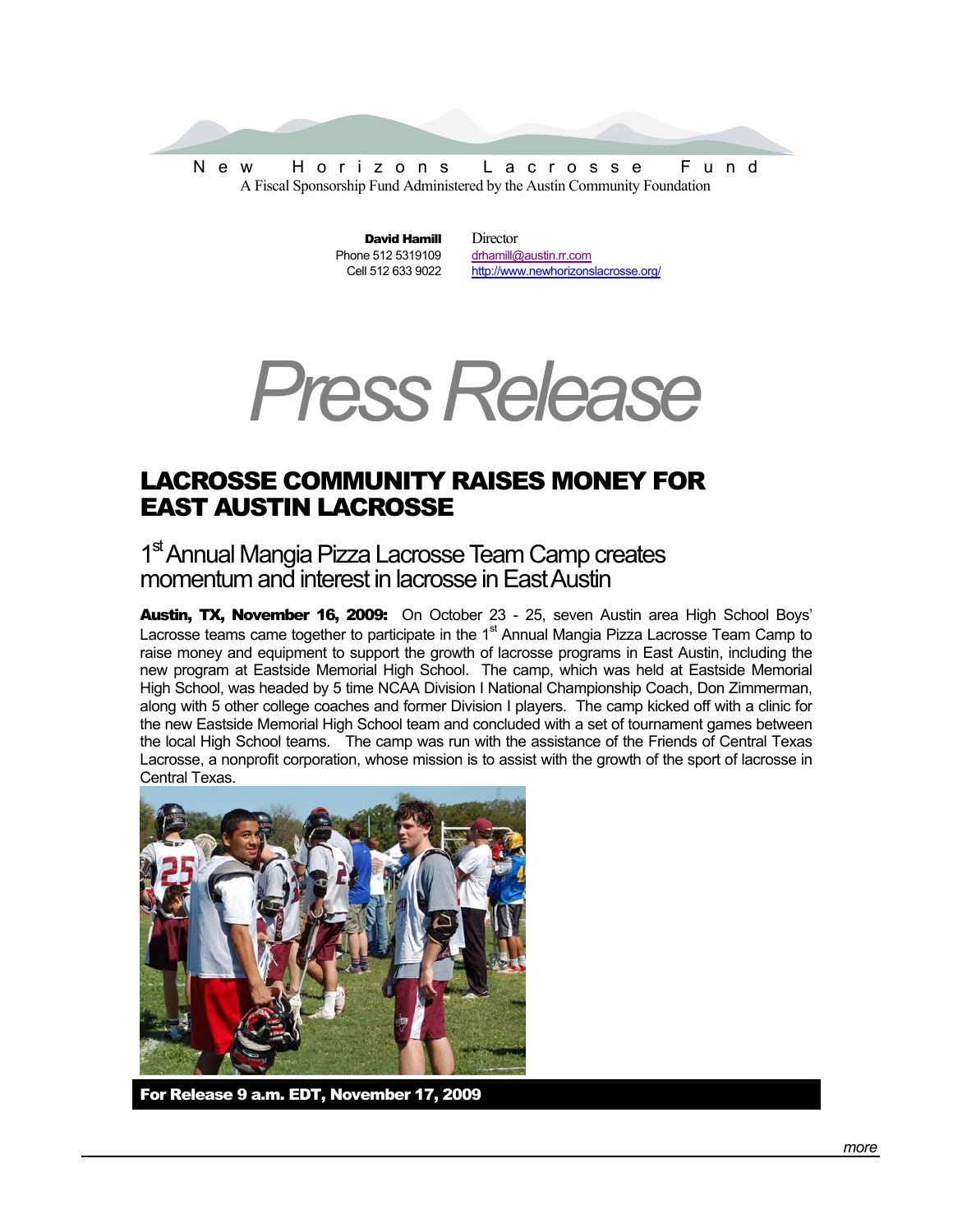

David Hamill Phone 512 5319109 Cell 512 633 9022 **Director** drhamill@austin.rr.com http://www.newhorizonslacrosse.org/



## LACROSSE COMMUNITY RAISES MONEY FOR EAST AUSTIN LACROSSE

1<sup>st</sup> Annual Mangia Pizza Lacrosse Team Camp creates momentum and interest in lacrosse in East Austin

Austin, TX, November 16, 2009: On October 23 - 25, seven Austin area High School Boys' Lacrosse teams came together to participate in the 1<sup>st</sup> Annual Mangia Pizza Lacrosse Team Camp to raise money and equipment to support the growth of lacrosse programs in East Austin, including the new program at Eastside Memorial High School. The camp, which was held at Eastside Memorial High School, was headed by 5 time NCAA Division I National Championship Coach, Don Zimmerman, along with 5 other college coaches and former Division I players. The camp kicked off with a clinic for the new Eastside Memorial High School team and concluded with a set of tournament games between the local High School teams. The camp was run with the assistance of the Friends of Central Texas Lacrosse, a nonprofit corporation, whose mission is to assist with the growth of the sport of lacrosse in Central Texas.



For Release 9 a.m. EDT, November 17, 2009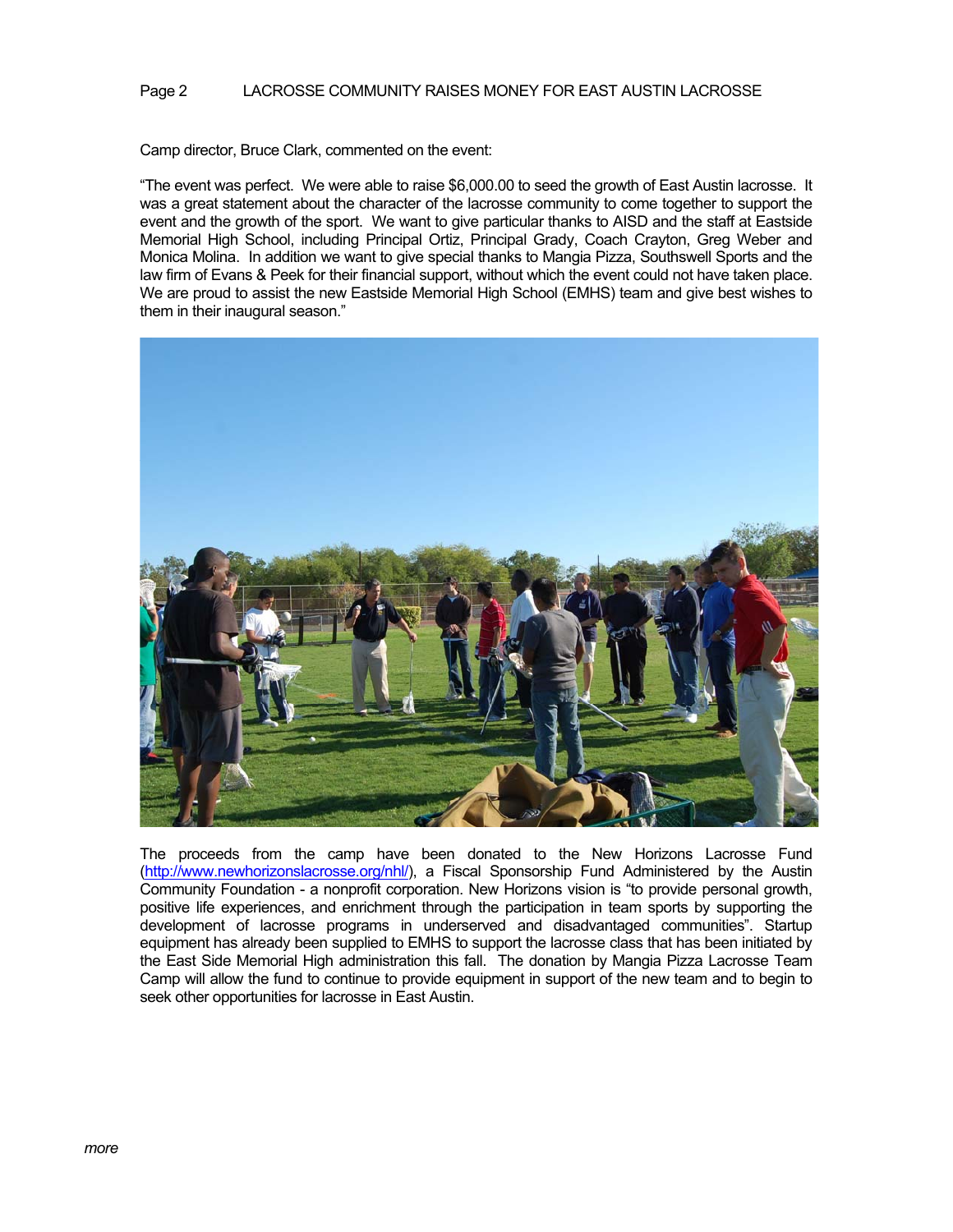## Page 2 LACROSSE COMMUNITY RAISES MONEY FOR EAST AUSTIN LACROSSE

Camp director, Bruce Clark, commented on the event:

"The event was perfect. We were able to raise \$6,000.00 to seed the growth of East Austin lacrosse. It was a great statement about the character of the lacrosse community to come together to support the event and the growth of the sport. We want to give particular thanks to AISD and the staff at Eastside Memorial High School, including Principal Ortiz, Principal Grady, Coach Crayton, Greg Weber and Monica Molina. In addition we want to give special thanks to Mangia Pizza, Southswell Sports and the law firm of Evans & Peek for their financial support, without which the event could not have taken place. We are proud to assist the new Eastside Memorial High School (EMHS) team and give best wishes to them in their inaugural season."



The proceeds from the camp have been donated to the New Horizons Lacrosse Fund (http://www.newhorizonslacrosse.org/nhl/), a Fiscal Sponsorship Fund Administered by the Austin Community Foundation - a nonprofit corporation. New Horizons vision is "to provide personal growth, positive life experiences, and enrichment through the participation in team sports by supporting the development of lacrosse programs in underserved and disadvantaged communities". Startup equipment has already been supplied to EMHS to support the lacrosse class that has been initiated by the East Side Memorial High administration this fall. The donation by Mangia Pizza Lacrosse Team Camp will allow the fund to continue to provide equipment in support of the new team and to begin to seek other opportunities for lacrosse in East Austin.